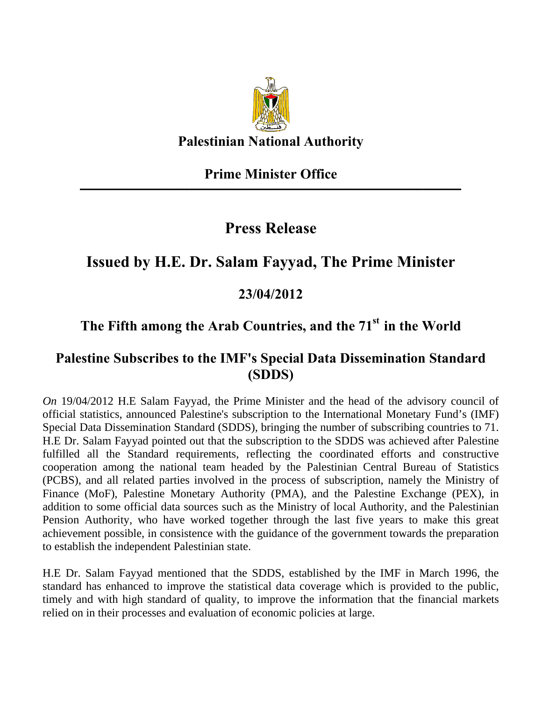

**Palestinian National Authority** 

#### **Prime Minister Office ـــــــــــــــــــــــــــــــــــــــــــــــــــــــــــــــــــــــــــــــــــــــــــــــــــــــــــــــــــــــــــــــــــــــــــــــــــــــــــــــــــــــــــــــــــــ**

## **Press Release**

## **Issued by H.E. Dr. Salam Fayyad, The Prime Minister**

### **23/04/2012**

# The Fifth among the Arab Countries, and the 71<sup>st</sup> in the World

### **Palestine Subscribes to the IMF's Special Data Dissemination Standard (SDDS)**

*On* 19/04/2012 H.E Salam Fayyad, the Prime Minister and the head of the advisory council of official statistics, announced Palestine's subscription to the International Monetary Fund's (IMF) Special Data Dissemination Standard (SDDS), bringing the number of subscribing countries to 71. H.E Dr. Salam Fayyad pointed out that the subscription to the SDDS was achieved after Palestine fulfilled all the Standard requirements, reflecting the coordinated efforts and constructive cooperation among the national team headed by the Palestinian Central Bureau of Statistics (PCBS), and all related parties involved in the process of subscription, namely the Ministry of Finance (MoF), Palestine Monetary Authority (PMA), and the Palestine Exchange (PEX), in addition to some official data sources such as the Ministry of local Authority, and the Palestinian Pension Authority, who have worked together through the last five years to make this great achievement possible, in consistence with the guidance of the government towards the preparation to establish the independent Palestinian state.

H.E Dr. Salam Fayyad mentioned that the SDDS, established by the IMF in March 1996, the standard has enhanced to improve the statistical data coverage which is provided to the public, timely and with high standard of quality, to improve the information that the financial markets relied on in their processes and evaluation of economic policies at large.